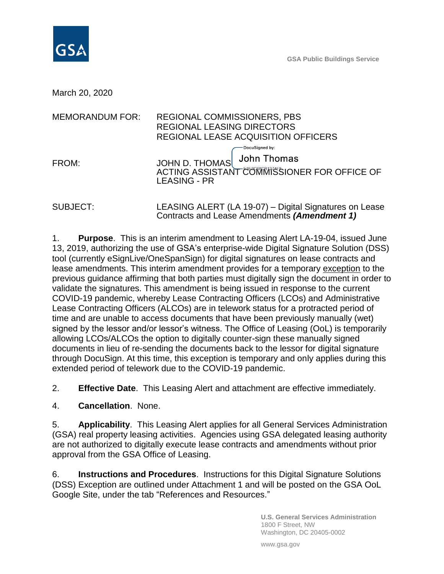

March 20, 2020

| <b>MEMORANDUM FOR:</b> | <b>REGIONAL COMMISSIONERS, PBS</b><br><b>REGIONAL LEASING DIRECTORS</b><br>REGIONAL LEASE ACQUISITION OFFICERS        |  |  |
|------------------------|-----------------------------------------------------------------------------------------------------------------------|--|--|
| FROM:                  | DocuSigned by:<br>John Thomas<br>JOHN D. THOMAS<br>ACTING ASSISTANT COMMISSIONER FOR OFFICE OF<br><b>LEASING - PR</b> |  |  |

SUBJECT: LEASING ALERT (LA 19-07) – Digital Signatures on Lease Contracts and Lease Amendments *(Amendment 1)*

1. **Purpose**. This is an interim amendment to Leasing Alert LA-19-04, issued June 13, 2019, authorizing the use of GSA's enterprise-wide Digital Signature Solution (DSS) tool (currently eSignLive/OneSpanSign) for digital signatures on lease contracts and lease amendments. This interim amendment provides for a temporary exception to the previous guidance affirming that both parties must digitally sign the document in order to validate the signatures. This amendment is being issued in response to the current COVID-19 pandemic, whereby Lease Contracting Officers (LCOs) and Administrative Lease Contracting Officers (ALCOs) are in telework status for a protracted period of time and are unable to access documents that have been previously manually (wet) signed by the lessor and/or lessor's witness. The Office of Leasing (OoL) is temporarily allowing LCOs/ALCOs the option to digitally counter-sign these manually signed documents in lieu of re-sending the documents back to the lessor for digital signature through DocuSign. At this time, this exception is temporary and only applies during this extended period of telework due to the COVID-19 pandemic.

2. **Effective Date**. This Leasing Alert and attachment are effective immediately.

4. **Cancellation**. None.

5. **Applicability**. This Leasing Alert applies for all General Services Administration (GSA) real property leasing activities. Agencies using GSA delegated leasing authority are not authorized to digitally execute lease contracts and amendments without prior approval from the GSA Office of Leasing.

6. **Instructions and Procedures**. Instructions for this Digital Signature Solutions (DSS) Exception are outlined under Attachment 1 and will be posted on the GSA OoL Google Site, under the tab "References and Resources."

> **U.S. General Services Administration** 1800 F Street, NW Washington, DC 20405-0002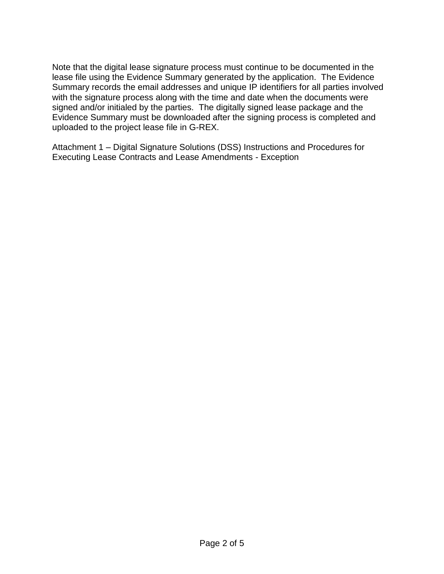Note that the digital lease signature process must continue to be documented in the lease file using the Evidence Summary generated by the application. The Evidence Summary records the email addresses and unique IP identifiers for all parties involved with the signature process along with the time and date when the documents were signed and/or initialed by the parties. The digitally signed lease package and the Evidence Summary must be downloaded after the signing process is completed and uploaded to the project lease file in G-REX.

Attachment 1 – Digital Signature Solutions (DSS) Instructions and Procedures for Executing Lease Contracts and Lease Amendments - Exception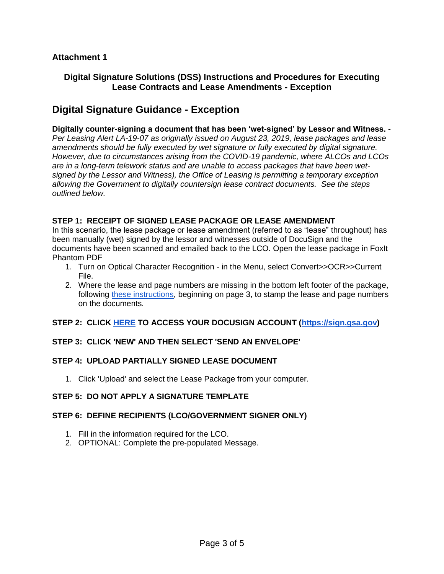## **Attachment 1**

### **Digital Signature Solutions (DSS) Instructions and Procedures for Executing Lease Contracts and Lease Amendments - Exception**

# **Digital Signature Guidance - Exception**

#### **Digitally counter-signing a document that has been 'wet-signed' by Lessor and Witness. -**

*Per Leasing Alert LA-19-07 as originally issued on August 23, 2019, lease packages and lease amendments should be fully executed by wet signature or fully executed by digital signature. However, due to circumstances arising from the COVID-19 pandemic, where ALCOs and LCOs are in a long-term telework status and are unable to access packages that have been wetsigned by the Lessor and Witness), the Office of Leasing is permitting a temporary exception allowing the Government to digitally countersign lease contract documents. See the steps outlined below.*

#### **STEP 1: RECEIPT OF SIGNED LEASE PACKAGE OR LEASE AMENDMENT**

In this scenario, the lease package or lease amendment (referred to as "lease" throughout) has been manually (wet) signed by the lessor and witnesses outside of DocuSign and the documents have been scanned and emailed back to the LCO. Open the lease package in FoxIt Phantom PDF

- 1. Turn on Optical Character Recognition in the Menu, select Convert>>OCR>>Current File.
- 2. Where the lease and page numbers are missing in the bottom left footer of the package, following [these instructions,](https://docs.google.com/document/d/1bWbFhDGj-PMCLrYzrF3S5tSPIBd0ec3tvBSxGYTE8BI/edit) beginning on page 3, to stamp the lease and page numbers on the documents.

#### **STEP 2: CLICK [HERE](https://sign.gsa.gov/) TO ACCESS YOUR DOCUSIGN ACCOUNT [\(https://sign.gsa.gov\)](https://sign.gsa.gov/)**

#### **STEP 3: CLICK 'NEW' AND THEN SELECT 'SEND AN ENVELOPE'**

#### **STEP 4: UPLOAD PARTIALLY SIGNED LEASE DOCUMENT**

1. Click 'Upload' and select the Lease Package from your computer.

#### **STEP 5: DO NOT APPLY A SIGNATURE TEMPLATE**

#### **STEP 6: DEFINE RECIPIENTS (LCO/GOVERNMENT SIGNER ONLY)**

- 1. Fill in the information required for the LCO.
- 2. OPTIONAL: Complete the pre-populated Message.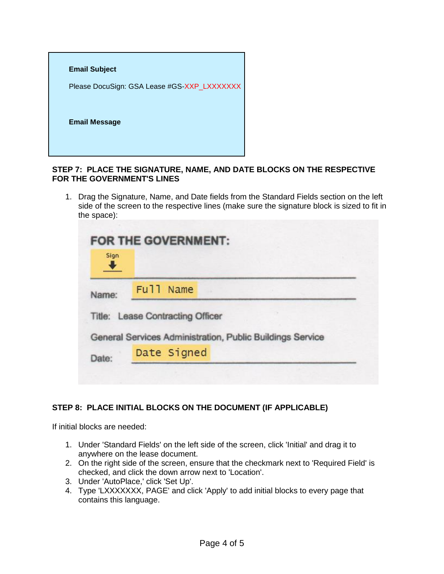

#### **STEP 7: PLACE THE SIGNATURE, NAME, AND DATE BLOCKS ON THE RESPECTIVE FOR THE GOVERNMENT'S LINES**

1. Drag the Signature, Name, and Date fields from the Standard Fields section on the left side of the screen to the respective lines (make sure the signature block is sized to fit in the space):

| Sign  |                                                           |
|-------|-----------------------------------------------------------|
| Name: | Full Name                                                 |
|       |                                                           |
|       | Title: Lease Contracting Officer                          |
|       | General Services Administration, Public Buildings Service |

### **STEP 8: PLACE INITIAL BLOCKS ON THE DOCUMENT (IF APPLICABLE)**

If initial blocks are needed:

- 1. Under 'Standard Fields' on the left side of the screen, click 'Initial' and drag it to anywhere on the lease document.
- 2. On the right side of the screen, ensure that the checkmark next to 'Required Field' is checked, and click the down arrow next to 'Location'.
- 3. Under 'AutoPlace,' click 'Set Up'.
- 4. Type 'LXXXXXXX, PAGE' and click 'Apply' to add initial blocks to every page that contains this language.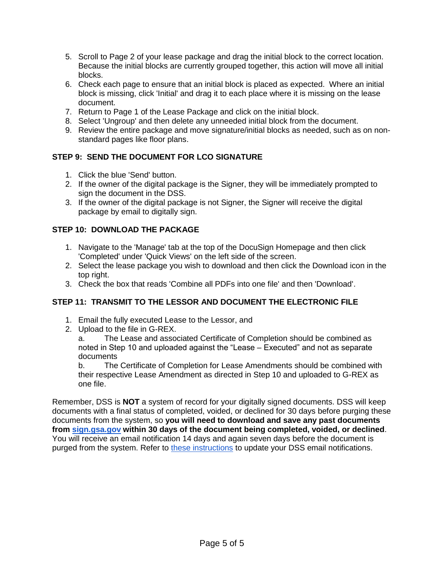- 5. Scroll to Page 2 of your lease package and drag the initial block to the correct location. Because the initial blocks are currently grouped together, this action will move all initial blocks.
- 6. Check each page to ensure that an initial block is placed as expected. Where an initial block is missing, click 'Initial' and drag it to each place where it is missing on the lease document.
- 7. Return to Page 1 of the Lease Package and click on the initial block.
- 8. Select 'Ungroup' and then delete any unneeded initial block from the document.
- 9. Review the entire package and move signature/initial blocks as needed, such as on nonstandard pages like floor plans.

### **STEP 9: SEND THE DOCUMENT FOR LCO SIGNATURE**

- 1. Click the blue 'Send' button.
- 2. If the owner of the digital package is the Signer, they will be immediately prompted to sign the document in the DSS.
- 3. If the owner of the digital package is not Signer, the Signer will receive the digital package by email to digitally sign.

#### **STEP 10: DOWNLOAD THE PACKAGE**

- 1. Navigate to the 'Manage' tab at the top of the DocuSign Homepage and then click 'Completed' under 'Quick Views' on the left side of the screen.
- 2. Select the lease package you wish to download and then click the Download icon in the top right.
- 3. Check the box that reads 'Combine all PDFs into one file' and then 'Download'.

### **STEP 11: TRANSMIT TO THE LESSOR AND DOCUMENT THE ELECTRONIC FILE**

- 1. Email the fully executed Lease to the Lessor, and
- 2. Upload to the file in G-REX.

a. The Lease and associated Certificate of Completion should be combined as noted in Step 10 and uploaded against the "Lease – Executed" and not as separate documents

b. The Certificate of Completion for Lease Amendments should be combined with their respective Lease Amendment as directed in Step 10 and uploaded to G-REX as one file.

Remember, DSS is **NOT** a system of record for your digitally signed documents. DSS will keep documents with a final status of completed, voided, or declined for 30 days before purging these documents from the system, so **you will need to download and save any past documents from [sign.gsa.gov](http://sign.gsa.gov/) within 30 days of the document being completed, voided, or declined**. You will receive an email notification 14 days and again seven days before the document is purged from the system. Refer to [these instructions](https://docs.google.com/document/d/17aXxMGi6FYqhoVy4TSWzRr8POMgYCOrv8hn74FCV5u4/edit) to update your DSS email notifications.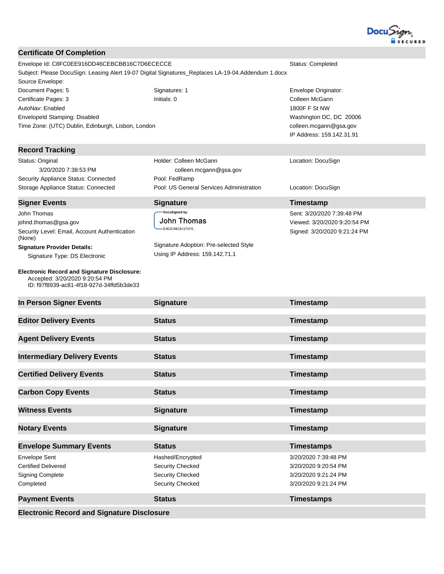

#### **Certificate Of Completion**

| Envelope Id: C8FC0EE916DD46CEBCBB16C7D6ECECCE |                                                                                                    | Status: Completed         |
|-----------------------------------------------|----------------------------------------------------------------------------------------------------|---------------------------|
|                                               | Subject: Please DocuSign: Leasing Alert 19-07 Digital Signatures_Replaces LA-19-04.Addendum 1.docx |                           |
| Source Envelope:                              |                                                                                                    |                           |
| Document Pages: 5                             | Signatures: 1                                                                                      | <b>Envelope Originate</b> |
| Certificate Pages: 3                          | Initials: 0                                                                                        | Colleen McGann            |
| AutoNav: Enabled                              |                                                                                                    | 1800F F St NW             |
| Envelopeld Stamping: Disabled                 |                                                                                                    | Washington DC, D          |

#### **Record Tracking**

Status: Original 3/20/2020 7:38:53 PM Security Appliance Status: Connected Pool: FedRamp Storage Appliance Status: Connected Pool: US General Services Administration Location: DocuSign

Time Zone: (UTC) Dublin, Edinburgh, Lisbon, London

#### **Signer Events Signature Construction Construction Construction Construction Construction Construction Construction Construction Construction Construction Construction Construction Construction Construction Constructio**

John Thomas johnd.thomas@gsa.gov Security Level: Email, Account Authentication (None) **Signature Provider Details:** 

Signature Type: DS Electronic

#### **Electronic Record and Signature Disclosure:**  Accepted: 3/20/2020 9:20:54 PM ID: f97f8939-ac81-4f18-927d-34ffd5b3de33

Holder: Colleen McGann colleen.mcgann@gsa.gov

# -DocuSigned by:

**John Thomas** E3E2C68CB1274F8...

Signature Adoption: Pre-selected Style Using IP Address: 159.142.71.1

## e Originator: St NW gton DC, DC 20006 colleen.mcgann@gsa.gov IP Address: 159.142.31.91

Location: DocuSign

# Sent: 3/20/2020 7:39:48 PM Viewed: 3/20/2020 9:20:54 PM Signed: 3/20/2020 9:21:24 PM

| In Person Signer Events                                                                    | <b>Signature</b>                                                                    | Timestamp                                                                                    |
|--------------------------------------------------------------------------------------------|-------------------------------------------------------------------------------------|----------------------------------------------------------------------------------------------|
| <b>Editor Delivery Events</b>                                                              | <b>Status</b>                                                                       | Timestamp                                                                                    |
| <b>Agent Delivery Events</b>                                                               | <b>Status</b>                                                                       | Timestamp                                                                                    |
| <b>Intermediary Delivery Events</b>                                                        | <b>Status</b>                                                                       | Timestamp                                                                                    |
| <b>Certified Delivery Events</b>                                                           | <b>Status</b>                                                                       | Timestamp                                                                                    |
| <b>Carbon Copy Events</b>                                                                  | <b>Status</b>                                                                       | Timestamp                                                                                    |
| <b>Witness Events</b>                                                                      | <b>Signature</b>                                                                    | Timestamp                                                                                    |
| <b>Notary Events</b>                                                                       | <b>Signature</b>                                                                    | Timestamp                                                                                    |
|                                                                                            |                                                                                     |                                                                                              |
| <b>Envelope Summary Events</b>                                                             | <b>Status</b>                                                                       | <b>Timestamps</b>                                                                            |
| <b>Envelope Sent</b><br><b>Certified Delivered</b><br><b>Signing Complete</b><br>Completed | Hashed/Encrypted<br><b>Security Checked</b><br>Security Checked<br>Security Checked | 3/20/2020 7:39:48 PM<br>3/20/2020 9:20:54 PM<br>3/20/2020 9:21:24 PM<br>3/20/2020 9:21:24 PM |
| <b>Payment Events</b>                                                                      | <b>Status</b>                                                                       | <b>Timestamps</b>                                                                            |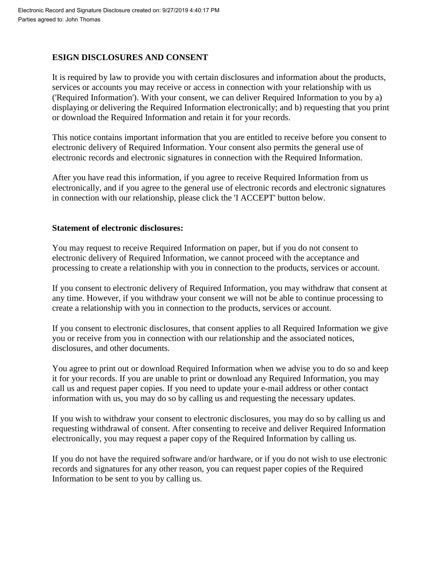## **ESIGN DISCLOSURES AND CONSENT**

It is required by law to provide you with certain disclosures and information about the products, services or accounts you may receive or access in connection with your relationship with us ('Required Information'). With your consent, we can deliver Required Information to you by a) displaying or delivering the Required Information electronically; and b) requesting that you print or download the Required Information and retain it for your records.

This notice contains important information that you are entitled to receive before you consent to electronic delivery of Required Information. Your consent also permits the general use of electronic records and electronic signatures in connection with the Required Information.

After you have read this information, if you agree to receive Required Information from us electronically, and if you agree to the general use of electronic records and electronic signatures in connection with our relationship, please click the 'I ACCEPT' button below.

#### **Statement of electronic disclosures:**

You may request to receive Required Information on paper, but if you do not consent to electronic delivery of Required Information, we cannot proceed with the acceptance and processing to create a relationship with you in connection to the products, services or account.

If you consent to electronic delivery of Required Information, you may withdraw that consent at any time. However, if you withdraw your consent we will not be able to continue processing to create a relationship with you in connection to the products, services or account.

If you consent to electronic disclosures, that consent applies to all Required Information we give you or receive from you in connection with our relationship and the associated notices, disclosures, and other documents.

You agree to print out or download Required Information when we advise you to do so and keep it for your records. If you are unable to print or download any Required Information, you may call us and request paper copies. If you need to update your e-mail address or other contact information with us, you may do so by calling us and requesting the necessary updates.

If you wish to withdraw your consent to electronic disclosures, you may do so by calling us and requesting withdrawal of consent. After consenting to receive and deliver Required Information electronically, you may request a paper copy of the Required Information by calling us.

If you do not have the required software and/or hardware, or if you do not wish to use electronic records and signatures for any other reason, you can request paper copies of the Required Information to be sent to you by calling us.